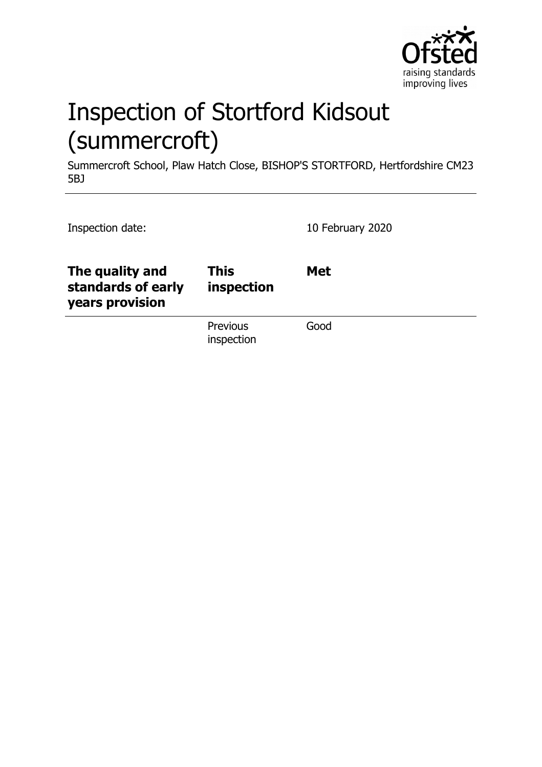

# Inspection of Stortford Kidsout (summercroft)

Summercroft School, Plaw Hatch Close, BISHOP'S STORTFORD, Hertfordshire CM23 5BJ

| Inspection date:                                         |                           | 10 February 2020 |
|----------------------------------------------------------|---------------------------|------------------|
| The quality and<br>standards of early<br>years provision | <b>This</b><br>inspection | <b>Met</b>       |
|                                                          | Previous<br>inspection    | Good             |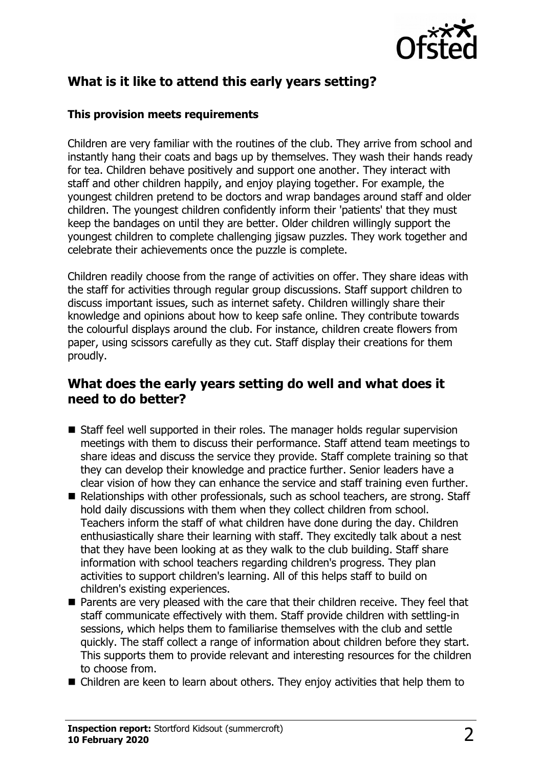

## **What is it like to attend this early years setting?**

#### **This provision meets requirements**

Children are very familiar with the routines of the club. They arrive from school and instantly hang their coats and bags up by themselves. They wash their hands ready for tea. Children behave positively and support one another. They interact with staff and other children happily, and enjoy playing together. For example, the youngest children pretend to be doctors and wrap bandages around staff and older children. The youngest children confidently inform their 'patients' that they must keep the bandages on until they are better. Older children willingly support the youngest children to complete challenging jigsaw puzzles. They work together and celebrate their achievements once the puzzle is complete.

Children readily choose from the range of activities on offer. They share ideas with the staff for activities through regular group discussions. Staff support children to discuss important issues, such as internet safety. Children willingly share their knowledge and opinions about how to keep safe online. They contribute towards the colourful displays around the club. For instance, children create flowers from paper, using scissors carefully as they cut. Staff display their creations for them proudly.

#### **What does the early years setting do well and what does it need to do better?**

- $\blacksquare$  Staff feel well supported in their roles. The manager holds regular supervision meetings with them to discuss their performance. Staff attend team meetings to share ideas and discuss the service they provide. Staff complete training so that they can develop their knowledge and practice further. Senior leaders have a clear vision of how they can enhance the service and staff training even further.
- Relationships with other professionals, such as school teachers, are strong. Staff hold daily discussions with them when they collect children from school. Teachers inform the staff of what children have done during the day. Children enthusiastically share their learning with staff. They excitedly talk about a nest that they have been looking at as they walk to the club building. Staff share information with school teachers regarding children's progress. They plan activities to support children's learning. All of this helps staff to build on children's existing experiences.
- Parents are very pleased with the care that their children receive. They feel that staff communicate effectively with them. Staff provide children with settling-in sessions, which helps them to familiarise themselves with the club and settle quickly. The staff collect a range of information about children before they start. This supports them to provide relevant and interesting resources for the children to choose from.
- $\blacksquare$  Children are keen to learn about others. They enjoy activities that help them to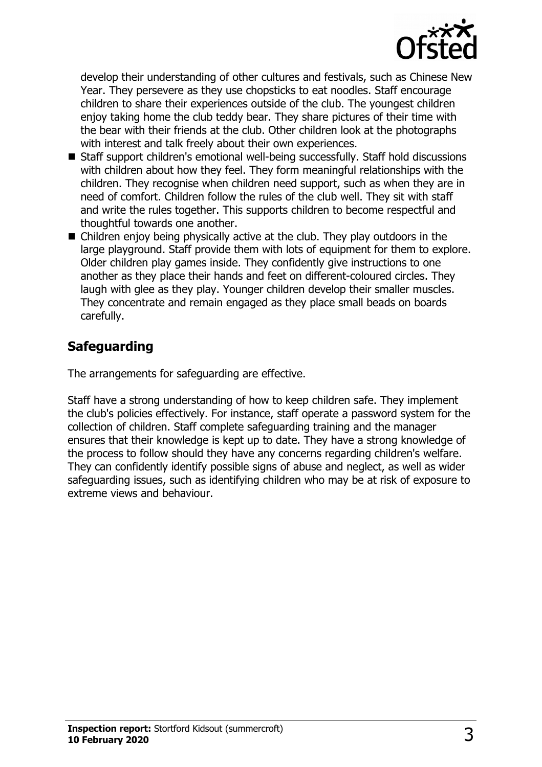

develop their understanding of other cultures and festivals, such as Chinese New Year. They persevere as they use chopsticks to eat noodles. Staff encourage children to share their experiences outside of the club. The youngest children enjoy taking home the club teddy bear. They share pictures of their time with the bear with their friends at the club. Other children look at the photographs with interest and talk freely about their own experiences.

- Staff support children's emotional well-being successfully. Staff hold discussions with children about how they feel. They form meaningful relationships with the children. They recognise when children need support, such as when they are in need of comfort. Children follow the rules of the club well. They sit with staff and write the rules together. This supports children to become respectful and thoughtful towards one another.
- $\blacksquare$  Children enjoy being physically active at the club. They play outdoors in the large playground. Staff provide them with lots of equipment for them to explore. Older children play games inside. They confidently give instructions to one another as they place their hands and feet on different-coloured circles. They laugh with glee as they play. Younger children develop their smaller muscles. They concentrate and remain engaged as they place small beads on boards carefully.

### **Safeguarding**

The arrangements for safeguarding are effective.

Staff have a strong understanding of how to keep children safe. They implement the club's policies effectively. For instance, staff operate a password system for the collection of children. Staff complete safeguarding training and the manager ensures that their knowledge is kept up to date. They have a strong knowledge of the process to follow should they have any concerns regarding children's welfare. They can confidently identify possible signs of abuse and neglect, as well as wider safeguarding issues, such as identifying children who may be at risk of exposure to extreme views and behaviour.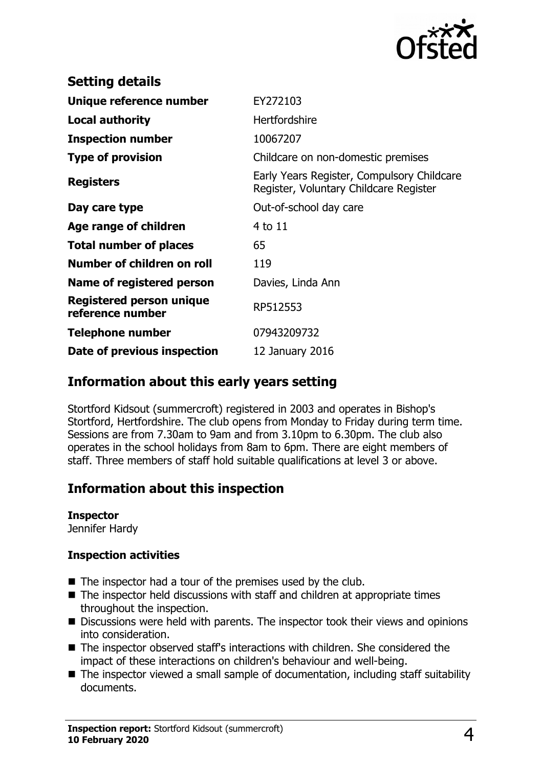

| <b>Setting details</b>                       |                                                                                      |
|----------------------------------------------|--------------------------------------------------------------------------------------|
| Unique reference number                      | EY272103                                                                             |
| <b>Local authority</b>                       | <b>Hertfordshire</b>                                                                 |
| <b>Inspection number</b>                     | 10067207                                                                             |
| <b>Type of provision</b>                     | Childcare on non-domestic premises                                                   |
| <b>Registers</b>                             | Early Years Register, Compulsory Childcare<br>Register, Voluntary Childcare Register |
| Day care type                                | Out-of-school day care                                                               |
| Age range of children                        | 4 to 11                                                                              |
| <b>Total number of places</b>                | 65                                                                                   |
| Number of children on roll                   | 119                                                                                  |
| Name of registered person                    | Davies, Linda Ann                                                                    |
| Registered person unique<br>reference number | RP512553                                                                             |
| <b>Telephone number</b>                      | 07943209732                                                                          |
| Date of previous inspection                  | 12 January 2016                                                                      |

#### **Information about this early years setting**

Stortford Kidsout (summercroft) registered in 2003 and operates in Bishop's Stortford, Hertfordshire. The club opens from Monday to Friday during term time. Sessions are from 7.30am to 9am and from 3.10pm to 6.30pm. The club also operates in the school holidays from 8am to 6pm. There are eight members of staff. Three members of staff hold suitable qualifications at level 3 or above.

## **Information about this inspection**

#### **Inspector**

Jennifer Hardy

#### **Inspection activities**

- $\blacksquare$  The inspector had a tour of the premises used by the club.
- $\blacksquare$  The inspector held discussions with staff and children at appropriate times throughout the inspection.
- $\blacksquare$  Discussions were held with parents. The inspector took their views and opinions into consideration.
- The inspector observed staff's interactions with children. She considered the impact of these interactions on children's behaviour and well-being.
- $\blacksquare$  The inspector viewed a small sample of documentation, including staff suitability documents.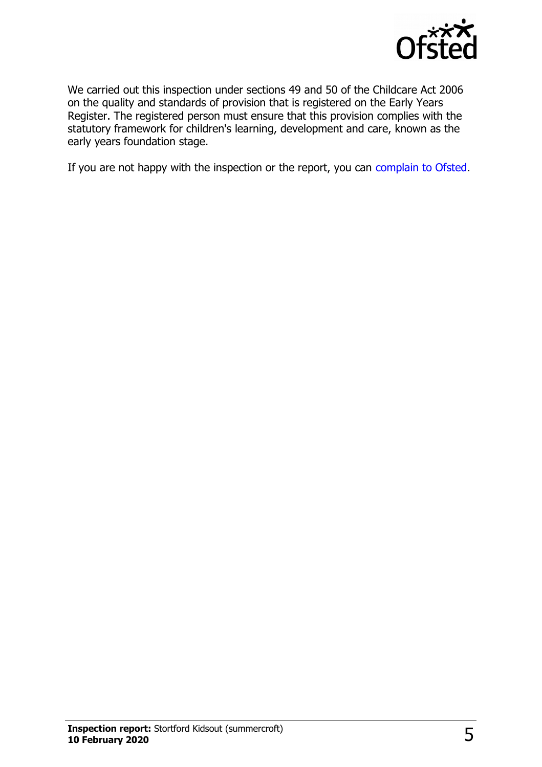

We carried out this inspection under sections 49 and 50 of the Childcare Act 2006 on the quality and standards of provision that is registered on the Early Years Register. The registered person must ensure that this provision complies with the statutory framework for children's learning, development and care, known as the early years foundation stage.

If you are not happy with the inspection or the report, you can [complain to Ofsted.](http://www.gov.uk/complain-ofsted-report)